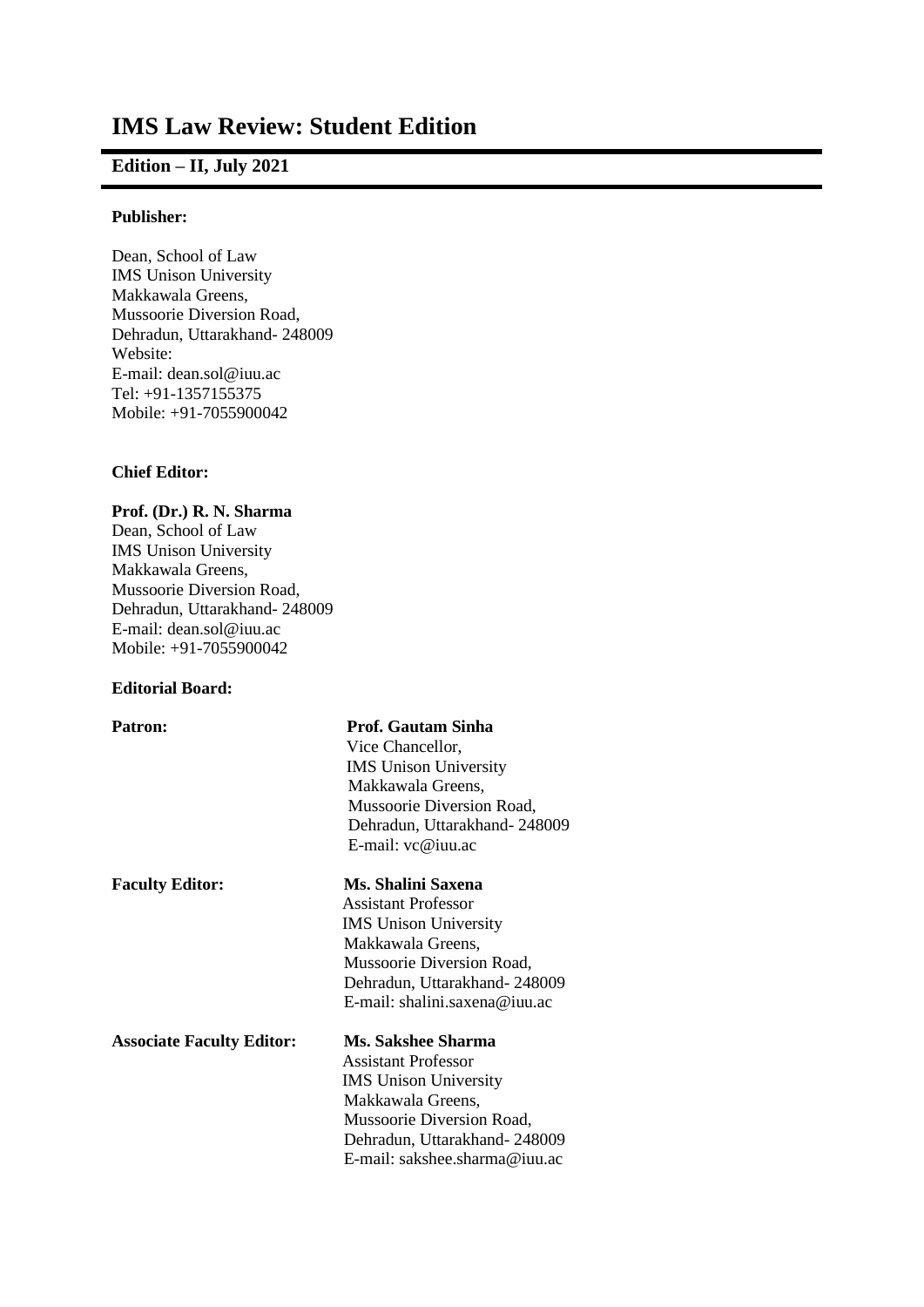# **IMS Law Review: Student Edition**

## **Edition – II, July 2021**

### **Publisher:**

Dean, School of Law IMS Unison University Makkawala Greens, Mussoorie Diversion Road, Dehradun, Uttarakhand- 248009 Website: E-mail: dean.sol@iuu.ac Tel: +91-1357155375 Mobile: +91-7055900042

### **Chief Editor:**

### **Prof. (Dr.) R. N. Sharma**

Dean, School of Law IMS Unison University Makkawala Greens, Mussoorie Diversion Road, Dehradun, Uttarakhand- 248009 E-mail: dean.sol@iuu.ac Mobile: +91-7055900042

### **Editorial Board:**

| <b>Patron:</b>                   | <b>Prof. Gautam Sinha</b>     |
|----------------------------------|-------------------------------|
|                                  | Vice Chancellor,              |
|                                  | <b>IMS</b> Unison University  |
|                                  | Makkawala Greens,             |
|                                  | Mussoorie Diversion Road,     |
|                                  | Dehradun, Uttarakhand-248009  |
|                                  | E-mail: $vc@$ iuu.ac          |
| <b>Faculty Editor:</b>           | Ms. Shalini Saxena            |
|                                  | Assistant Professor           |
|                                  | <b>IMS</b> Unison University  |
|                                  | Makkawala Greens,             |
|                                  | Mussoorie Diversion Road,     |
|                                  | Dehradun, Uttarakhand-248009  |
|                                  | E-mail: shalini.saxena@iuu.ac |
| <b>Associate Faculty Editor:</b> | Ms. Sakshee Sharma            |
|                                  | <b>Assistant Professor</b>    |
|                                  | <b>IMS</b> Unison University  |
|                                  | Makkawala Greens,             |
|                                  | Mussoorie Diversion Road,     |
|                                  | Dehradun, Uttarakhand-248009  |
|                                  | E-mail: sakshee.sharma@iuu.ac |
|                                  |                               |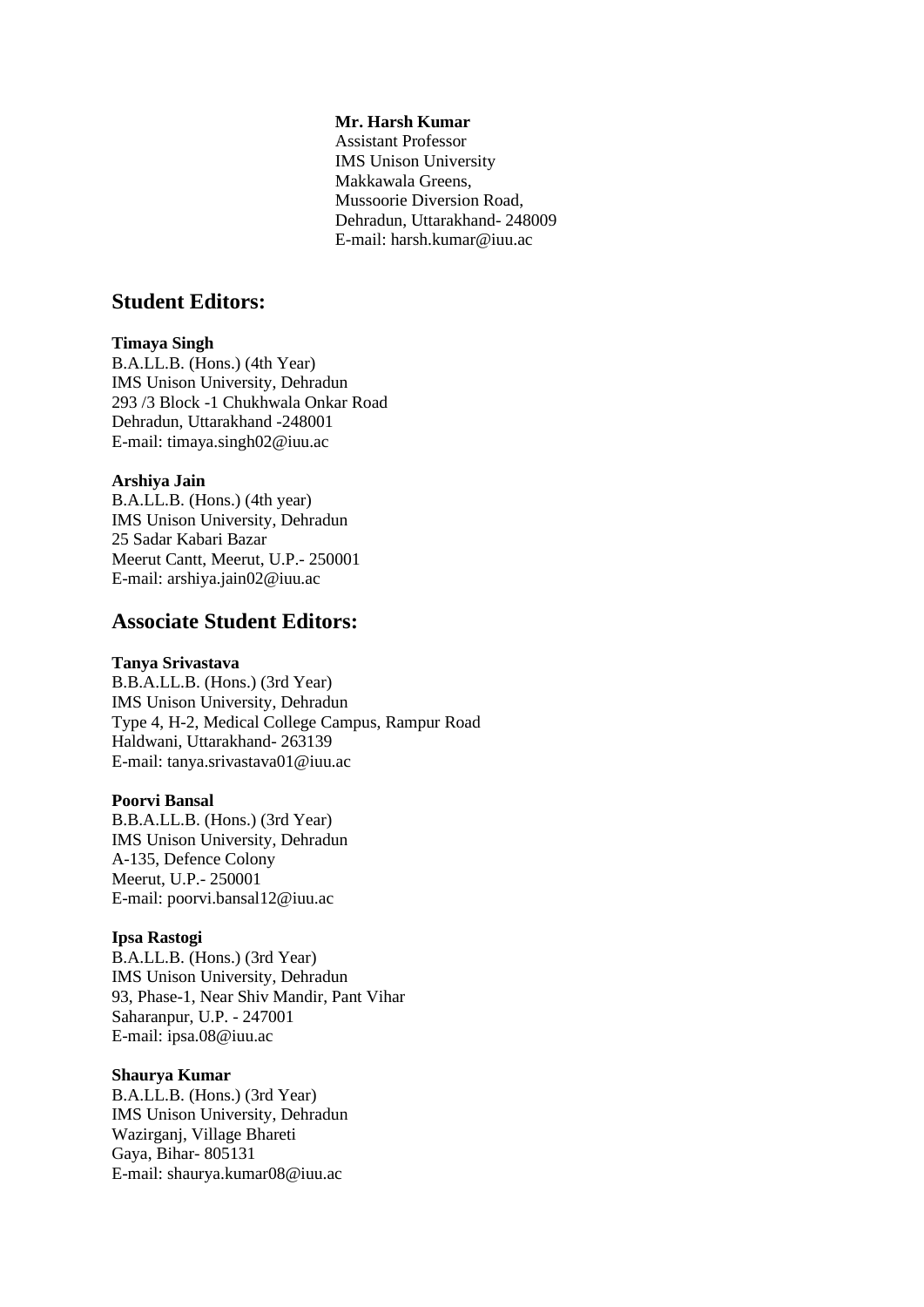#### **Mr. Harsh Kumar**

Assistant Professor IMS Unison University Makkawala Greens, Mussoorie Diversion Road, Dehradun, Uttarakhand- 248009 E-mail: harsh.kumar@iuu.ac

## **Student Editors:**

#### **Timaya Singh**

B.A.LL.B. (Hons.) (4th Year) IMS Unison University, Dehradun 293 /3 Block -1 Chukhwala Onkar Road Dehradun, Uttarakhand -248001 E-mail: timaya.singh02@iuu.ac

#### **Arshiya Jain**

B.A.LL.B. (Hons.) (4th year) IMS Unison University, Dehradun 25 Sadar Kabari Bazar Meerut Cantt, Meerut, U.P.- 250001 E-mail: arshiya.jain02@iuu.ac

## **Associate Student Editors:**

#### **Tanya Srivastava**

B.B.A.LL.B. (Hons.) (3rd Year) IMS Unison University, Dehradun Type 4, H-2, Medical College Campus, Rampur Road Haldwani, Uttarakhand- 263139 E-mail: tanya.srivastava01@iuu.ac

#### **Poorvi Bansal**

B.B.A.LL.B. (Hons.) (3rd Year) IMS Unison University, Dehradun A-135, Defence Colony Meerut, U.P.- 250001 E-mail: poorvi.bansal12@iuu.ac

#### **Ipsa Rastogi**

B.A.LL.B. (Hons.) (3rd Year) IMS Unison University, Dehradun 93, Phase-1, Near Shiv Mandir, Pant Vihar Saharanpur, U.P. - 247001 E-mail: ipsa.08@iuu.ac

#### **Shaurya Kumar**

B.A.LL.B. (Hons.) (3rd Year) IMS Unison University, Dehradun Wazirganj, Village Bhareti Gaya, Bihar- 805131 E-mail: shaurya.kumar08@iuu.ac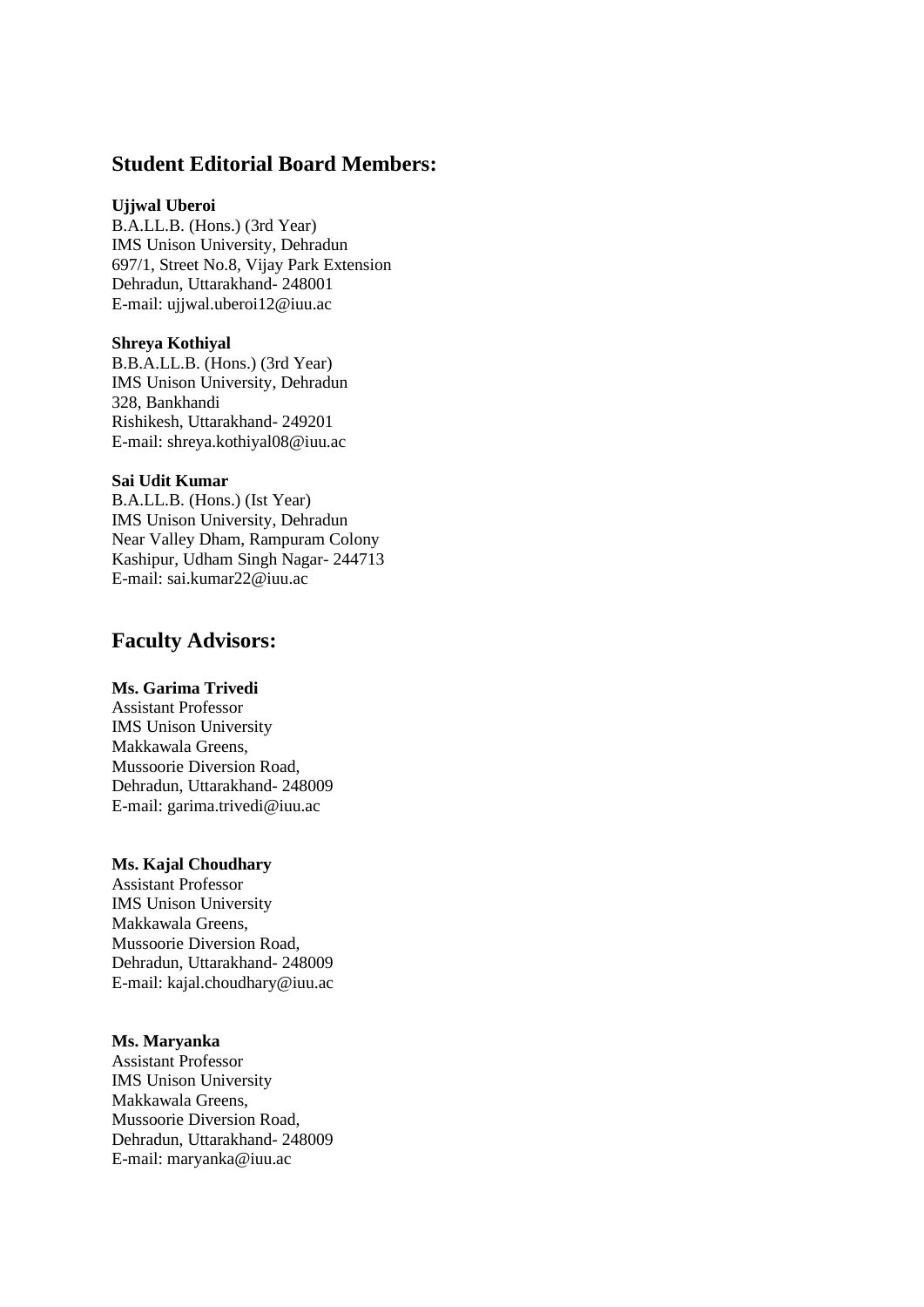## **Student Editorial Board Members:**

### **Ujjwal Uberoi**

B.A.LL.B. (Hons.) (3rd Year) IMS Unison University, Dehradun 697/1, Street No.8, Vijay Park Extension Dehradun, Uttarakhand- 248001 E-mail: ujjwal.uberoi12@iuu.ac

#### **Shreya Kothiyal**

B.B.A.LL.B. (Hons.) (3rd Year) IMS Unison University, Dehradun 328, Bankhandi Rishikesh, Uttarakhand- 249201 E-mail: shreya.kothiyal08@iuu.ac

## **Sai Udit Kumar**

B.A.LL.B. (Hons.) (Ist Year) IMS Unison University, Dehradun Near Valley Dham, Rampuram Colony Kashipur, Udham Singh Nagar- 244713 E-mail: sai.kumar22@iuu.ac

## **Faculty Advisors:**

## **Ms. Garima Trivedi**

Assistant Professor IMS Unison University Makkawala Greens, Mussoorie Diversion Road, Dehradun, Uttarakhand- 248009 E-mail: garima.trivedi@iuu.ac

### **Ms. Kajal Choudhary**

Assistant Professor IMS Unison University Makkawala Greens, Mussoorie Diversion Road, Dehradun, Uttarakhand- 248009 E-mail: kajal.choudhary@iuu.ac

#### **Ms. Maryanka**

Assistant Professor IMS Unison University Makkawala Greens, Mussoorie Diversion Road, Dehradun, Uttarakhand- 248009 E-mail: maryanka@iuu.ac